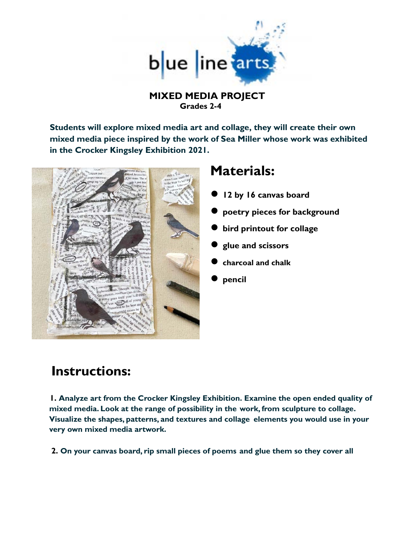

## **MIXED MEDIA PROJECT Grades 2-4**

**Students will explore mixed media art and collage, they will create their own mixed media piece inspired by the work of Sea Miller whose work was exhibited in the Crocker Kingsley Exhibition 2021.**



## **Materials:**

- **● 12 by 16 canvas board**
- **● poetry pieces for background**
- **● bird printout for collage**
- **● glue and scissors**
- **● charcoal and chalk**
- **● pencil**

## **Instructions:**

**1. Analyze art from the Crocker Kingsley Exhibition. Examine the open ended quality of mixed media. Look at the range of possibility in the work, from sculpture to collage. Visualize the shapes, patterns, and textures and collage elements you would use in your very own mixed media artwork.**

**2. On your canvas board, rip small pieces of poems and glue them so they cover all**